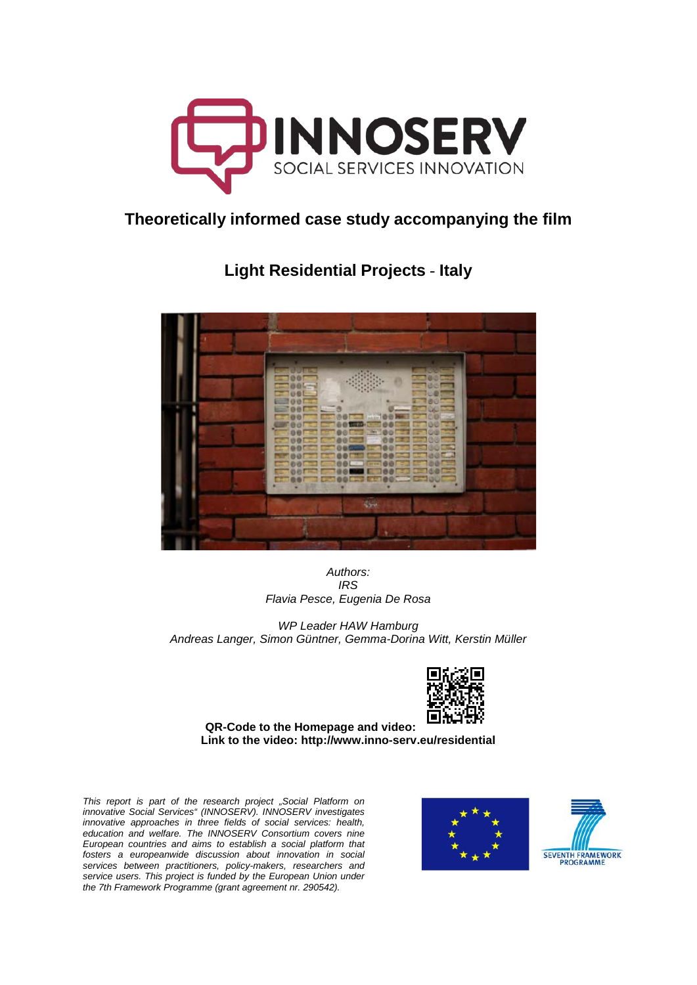

# **Theoretically informed case study accompanying the film**

**Light Residential Projects** - **Italy**



*Authors: IRS Flavia Pesce, Eugenia De Rosa*

*WP Leader HAW Hamburg Andreas Langer, Simon Güntner, Gemma-Dorina Witt, Kerstin Müller*



**QR-Code to the Homepage and video: Link to the video: <http://www.inno-serv.eu/residential>**

*This report is part of the research project "Social Platform on innovative Social Services" (INNOSERV). INNOSERV investigates innovative approaches in three fields of social services: health, education and welfare. The INNOSERV Consortium covers nine European countries and aims to establish a social platform that fosters a europeanwide discussion about innovation in social services between practitioners, policy-makers, researchers and service users. This project is funded by the European Union under the 7th Framework Programme (grant agreement nr. 290542).*



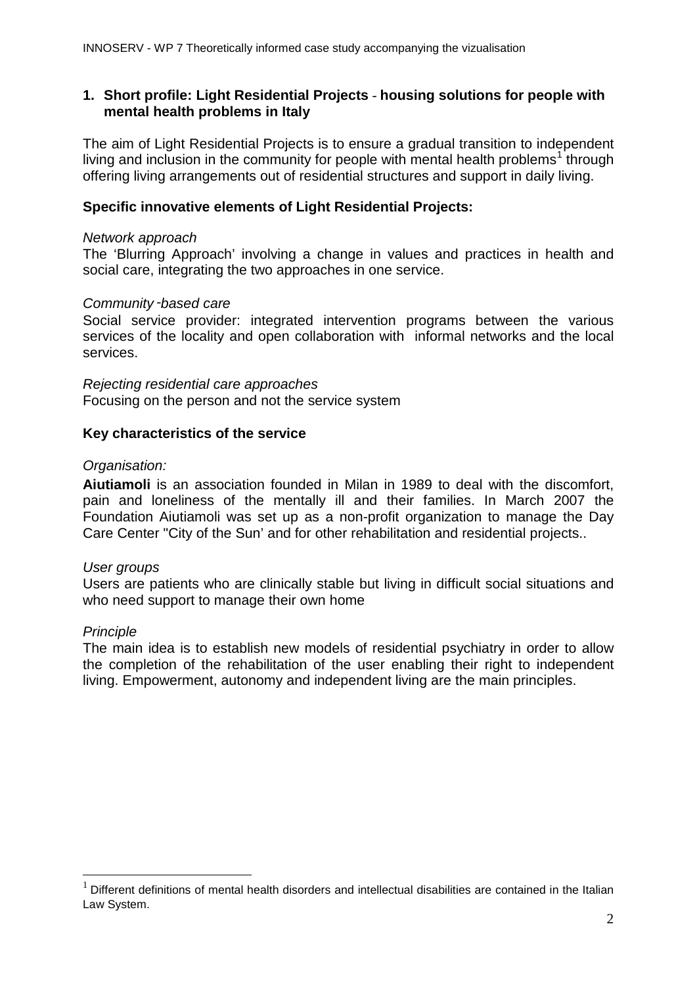## **1. Short profile: Light Residential Projects** - **housing solutions for people with mental health problems in Italy**

The aim of Light Residential Projects is to ensure a gradual transition to independent living and inclusion in the community for people with mental health problems<sup>[1](#page-1-0)</sup> through offering living arrangements out of residential structures and support in daily living.

#### **Specific innovative elements of Light Residential Projects:**

#### *Network approach*

The 'Blurring Approach' involving a change in values and practices in health and social care, integrating the two approaches in one service.

#### *Community*‑*based care*

Social service provider: integrated intervention programs between the various services of the locality and open collaboration with informal networks and the local services.

*Rejecting residential care approaches* Focusing on the person and not the service system

#### **Key characteristics of the service**

#### *Organisation:*

**Aiutiamoli** is an association founded in Milan in 1989 to deal with the discomfort, pain and loneliness of the mentally ill and their families. In March 2007 the Foundation Aiutiamoli was set up as a non-profit organization to manage the Day Care Center "City of the Sun' and for other rehabilitation and residential projects..

#### *User groups*

Users are patients who are clinically stable but living in difficult social situations and who need support to manage their own home

#### *Principle*

The main idea is to establish new models of residential psychiatry in order to allow the completion of the rehabilitation of the user enabling their right to independent living. Empowerment, autonomy and independent living are the main principles.

<span id="page-1-0"></span>Different definitions of mental health disorders and intellectual disabilities are contained in the Italian Law System.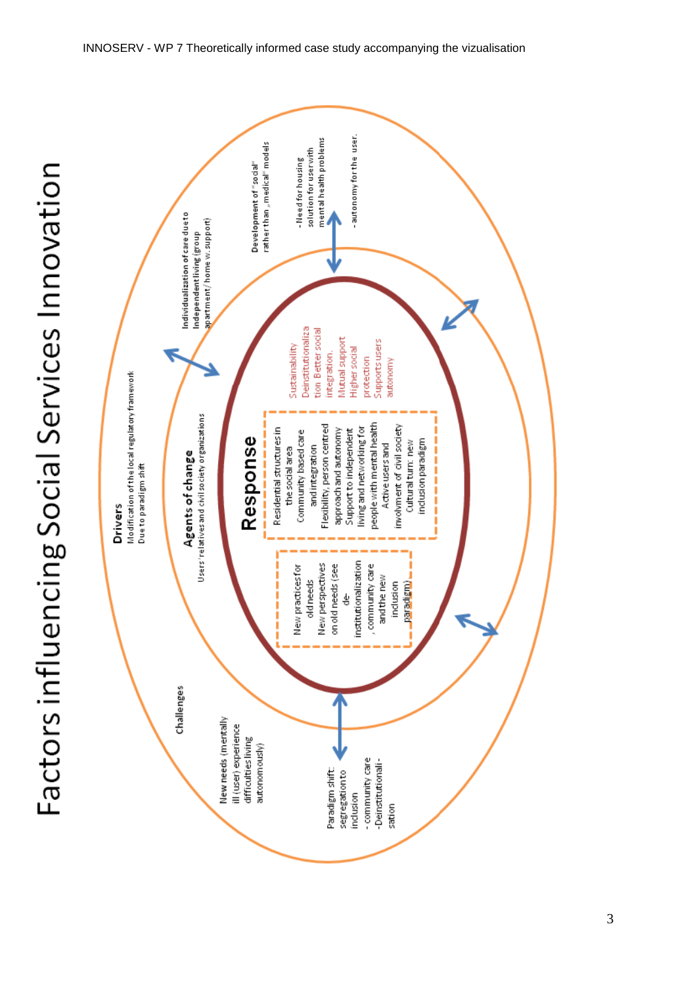

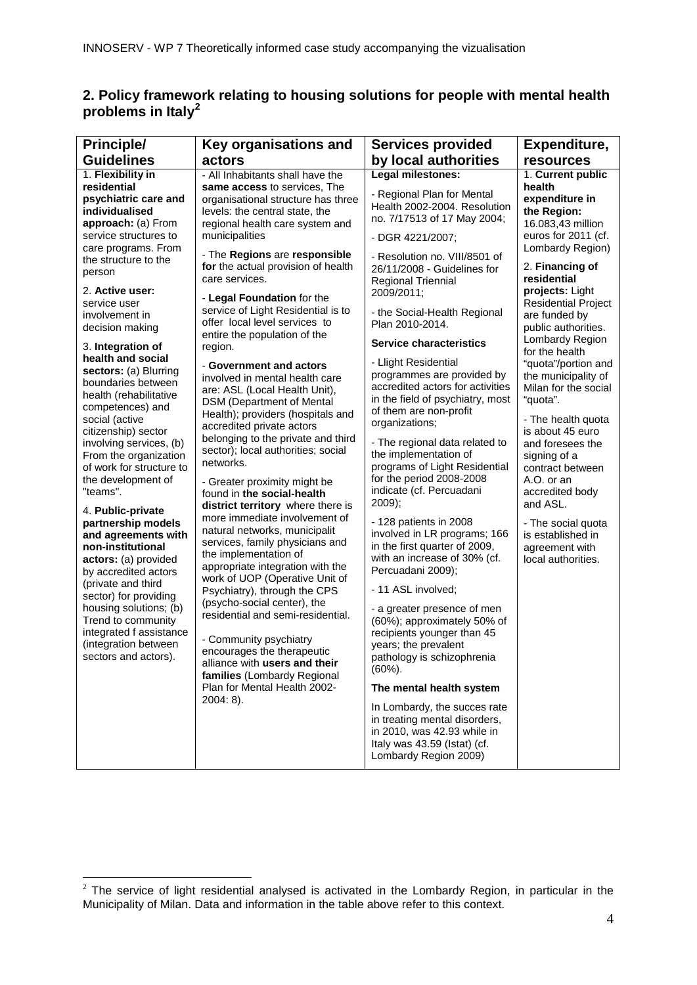## **2. Policy framework relating to housing solutions for people with mental health problems in Italy[2](#page-3-0)**

| <b>Principle/</b>                                                                                                                                                                                                                                                                                                                                                                                                                                                                                                                                                                          | Key organisations and                                                                                                                                                                                                                                                                                                                                                                                                                                                                                                                                                                                                                                                                                                                                                                                                                                                                                                                                                                                                | <b>Services provided</b>                                                                                                                                                                                 | Expenditure,                                                                                                                                                                                                                                                                                                                                                                                                            |
|--------------------------------------------------------------------------------------------------------------------------------------------------------------------------------------------------------------------------------------------------------------------------------------------------------------------------------------------------------------------------------------------------------------------------------------------------------------------------------------------------------------------------------------------------------------------------------------------|----------------------------------------------------------------------------------------------------------------------------------------------------------------------------------------------------------------------------------------------------------------------------------------------------------------------------------------------------------------------------------------------------------------------------------------------------------------------------------------------------------------------------------------------------------------------------------------------------------------------------------------------------------------------------------------------------------------------------------------------------------------------------------------------------------------------------------------------------------------------------------------------------------------------------------------------------------------------------------------------------------------------|----------------------------------------------------------------------------------------------------------------------------------------------------------------------------------------------------------|-------------------------------------------------------------------------------------------------------------------------------------------------------------------------------------------------------------------------------------------------------------------------------------------------------------------------------------------------------------------------------------------------------------------------|
| <b>Guidelines</b>                                                                                                                                                                                                                                                                                                                                                                                                                                                                                                                                                                          | actors                                                                                                                                                                                                                                                                                                                                                                                                                                                                                                                                                                                                                                                                                                                                                                                                                                                                                                                                                                                                               | by local authorities                                                                                                                                                                                     | <b>resources</b>                                                                                                                                                                                                                                                                                                                                                                                                        |
| 1. Flexibility in                                                                                                                                                                                                                                                                                                                                                                                                                                                                                                                                                                          | - All Inhabitants shall have the                                                                                                                                                                                                                                                                                                                                                                                                                                                                                                                                                                                                                                                                                                                                                                                                                                                                                                                                                                                     | Legal milestones:                                                                                                                                                                                        | 1. Current public                                                                                                                                                                                                                                                                                                                                                                                                       |
| residential<br>psychiatric care and<br>individualised<br>approach: (a) From                                                                                                                                                                                                                                                                                                                                                                                                                                                                                                                | same access to services, The<br>organisational structure has three<br>levels: the central state, the<br>regional health care system and                                                                                                                                                                                                                                                                                                                                                                                                                                                                                                                                                                                                                                                                                                                                                                                                                                                                              | - Regional Plan for Mental<br>Health 2002-2004. Resolution<br>no. 7/17513 of 17 May 2004;                                                                                                                | health<br>expenditure in<br>the Region:<br>16.083,43 million<br>euros for 2011 (cf.<br>Lombardy Region)<br>2. Financing of<br>residential<br>projects: Light<br><b>Residential Project</b><br>are funded by<br>public authorities.<br>Lombardy Region<br>for the health<br>"quota"/portion and<br>the municipality of<br>Milan for the social<br>"quota".<br>- The health quota<br>is about 45 euro<br>and foresees the |
| service structures to                                                                                                                                                                                                                                                                                                                                                                                                                                                                                                                                                                      | municipalities                                                                                                                                                                                                                                                                                                                                                                                                                                                                                                                                                                                                                                                                                                                                                                                                                                                                                                                                                                                                       | - DGR 4221/2007;                                                                                                                                                                                         |                                                                                                                                                                                                                                                                                                                                                                                                                         |
| care programs. From<br>the structure to the<br>person                                                                                                                                                                                                                                                                                                                                                                                                                                                                                                                                      | - The Regions are responsible<br>for the actual provision of health<br>care services.                                                                                                                                                                                                                                                                                                                                                                                                                                                                                                                                                                                                                                                                                                                                                                                                                                                                                                                                | - Resolution no. VIII/8501 of<br>26/11/2008 - Guidelines for<br><b>Regional Triennial</b>                                                                                                                |                                                                                                                                                                                                                                                                                                                                                                                                                         |
| 2. Active user:<br>service user<br>involvement in                                                                                                                                                                                                                                                                                                                                                                                                                                                                                                                                          | - Legal Foundation for the<br>service of Light Residential is to<br>offer local level services to<br>entire the population of the<br>region.<br>- Government and actors<br>involved in mental health care<br>are: ASL (Local Health Unit),<br>DSM (Department of Mental<br>Health); providers (hospitals and<br>accredited private actors<br>belonging to the private and third<br>sector); local authorities; social<br>networks.<br>- Greater proximity might be<br>found in the social-health<br>district territory where there is<br>more immediate involvement of<br>natural networks, municipalit<br>services, family physicians and<br>the implementation of<br>appropriate integration with the<br>work of UOP (Operative Unit of<br>Psychiatry), through the CPS<br>(psycho-social center), the<br>residential and semi-residential.<br>- Community psychiatry<br>encourages the therapeutic<br>alliance with users and their<br>families (Lombardy Regional<br>Plan for Mental Health 2002-<br>$2004:8$ ). | 2009/2011;<br>- the Social-Health Regional<br>Plan 2010-2014.                                                                                                                                            |                                                                                                                                                                                                                                                                                                                                                                                                                         |
| decision making<br>3. Integration of                                                                                                                                                                                                                                                                                                                                                                                                                                                                                                                                                       |                                                                                                                                                                                                                                                                                                                                                                                                                                                                                                                                                                                                                                                                                                                                                                                                                                                                                                                                                                                                                      | <b>Service characteristics</b>                                                                                                                                                                           |                                                                                                                                                                                                                                                                                                                                                                                                                         |
| health and social<br>sectors: (a) Blurring<br>boundaries between<br>health (rehabilitative<br>competences) and<br>social (active<br>citizenship) sector<br>involving services, (b)<br>From the organization<br>of work for structure to<br>the development of<br>"teams".<br>4. Public-private<br>partnership models<br>and agreements with<br>non-institutional<br>actors: (a) provided<br>by accredited actors<br>(private and third<br>sector) for providing<br>housing solutions; (b)<br>Trend to community<br>integrated f assistance<br>(integration between<br>sectors and actors). |                                                                                                                                                                                                                                                                                                                                                                                                                                                                                                                                                                                                                                                                                                                                                                                                                                                                                                                                                                                                                      | - Llight Residential<br>programmes are provided by<br>accredited actors for activities<br>in the field of psychiatry, most<br>of them are non-profit<br>organizations;<br>- The regional data related to |                                                                                                                                                                                                                                                                                                                                                                                                                         |
|                                                                                                                                                                                                                                                                                                                                                                                                                                                                                                                                                                                            |                                                                                                                                                                                                                                                                                                                                                                                                                                                                                                                                                                                                                                                                                                                                                                                                                                                                                                                                                                                                                      | the implementation of<br>programs of Light Residential<br>for the period 2008-2008<br>indicate (cf. Percuadani<br>$2009$ ;                                                                               | signing of a<br>contract between<br>A.O. or an<br>accredited body<br>and ASL.                                                                                                                                                                                                                                                                                                                                           |
|                                                                                                                                                                                                                                                                                                                                                                                                                                                                                                                                                                                            |                                                                                                                                                                                                                                                                                                                                                                                                                                                                                                                                                                                                                                                                                                                                                                                                                                                                                                                                                                                                                      | - 128 patients in 2008<br>involved in LR programs; 166<br>in the first quarter of 2009,<br>with an increase of 30% (cf.<br>Percuadani 2009);                                                             | - The social quota<br>is established in<br>agreement with<br>local authorities.                                                                                                                                                                                                                                                                                                                                         |
|                                                                                                                                                                                                                                                                                                                                                                                                                                                                                                                                                                                            |                                                                                                                                                                                                                                                                                                                                                                                                                                                                                                                                                                                                                                                                                                                                                                                                                                                                                                                                                                                                                      | - 11 ASL involved;                                                                                                                                                                                       |                                                                                                                                                                                                                                                                                                                                                                                                                         |
|                                                                                                                                                                                                                                                                                                                                                                                                                                                                                                                                                                                            |                                                                                                                                                                                                                                                                                                                                                                                                                                                                                                                                                                                                                                                                                                                                                                                                                                                                                                                                                                                                                      | - a greater presence of men<br>(60%); approximately 50% of<br>recipients younger than 45<br>years; the prevalent<br>pathology is schizophrenia<br>$(60\%)$ .<br>The mental health system                 |                                                                                                                                                                                                                                                                                                                                                                                                                         |
|                                                                                                                                                                                                                                                                                                                                                                                                                                                                                                                                                                                            |                                                                                                                                                                                                                                                                                                                                                                                                                                                                                                                                                                                                                                                                                                                                                                                                                                                                                                                                                                                                                      | In Lombardy, the succes rate<br>in treating mental disorders,<br>in 2010, was 42.93 while in<br>Italy was 43.59 (Istat) (cf.<br>Lombardy Region 2009)                                                    |                                                                                                                                                                                                                                                                                                                                                                                                                         |

<span id="page-3-0"></span> $2$  The service of light residential analysed is activated in the Lombardy Region, in particular in the Municipality of Milan. Data and information in the table above refer to this context.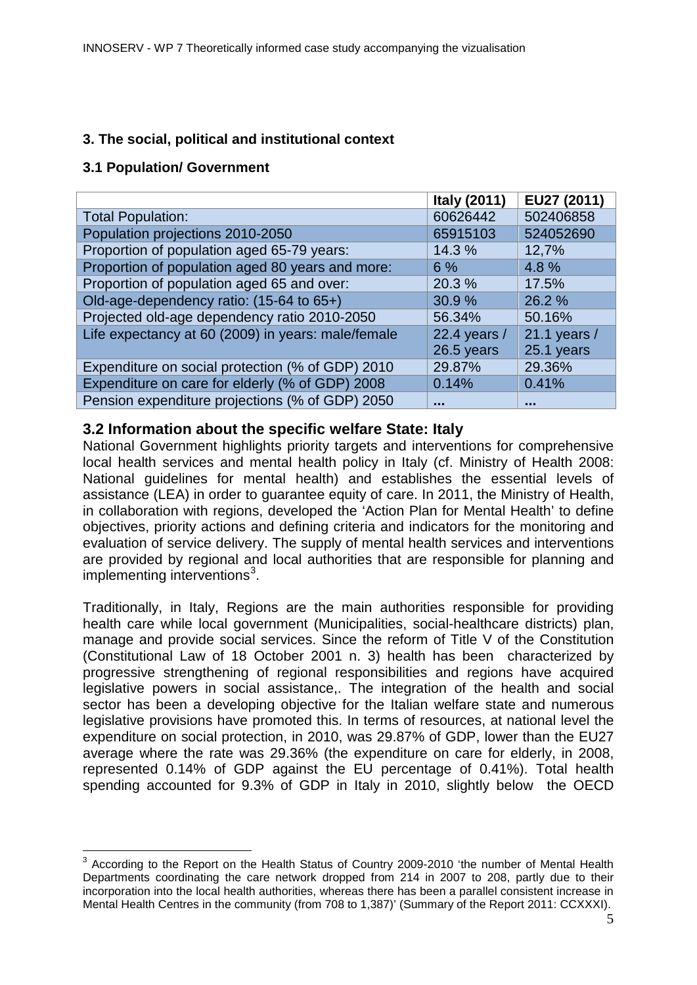## **3. The social, political and institutional context**

## **3.1 Population/ Government**

|                                                    | <b>Italy (2011)</b> | EU27 (2011)  |
|----------------------------------------------------|---------------------|--------------|
| <b>Total Population:</b>                           | 60626442            | 502406858    |
| Population projections 2010-2050                   | 65915103            | 524052690    |
| Proportion of population aged 65-79 years:         | 14.3 %              | 12,7%        |
| Proportion of population aged 80 years and more:   | 6%                  | 4.8%         |
| Proportion of population aged 65 and over:         | 20.3 %              | 17.5%        |
| Old-age-dependency ratio: (15-64 to 65+)           | 30.9%               | 26.2%        |
| Projected old-age dependency ratio 2010-2050       | 56.34%              | 50.16%       |
| Life expectancy at 60 (2009) in years: male/female | 22.4 years /        | 21.1 years / |
|                                                    | 26.5 years          | 25.1 years   |
| Expenditure on social protection (% of GDP) 2010   | 29.87%              | 29.36%       |
| Expenditure on care for elderly (% of GDP) 2008    | 0.14%               | 0.41%        |
| Pension expenditure projections (% of GDP) 2050    |                     |              |

## **3.2 Information about the specific welfare State: Italy**

National Government highlights priority targets and interventions for comprehensive local health services and mental health policy in Italy (cf. Ministry of Health 2008: National guidelines for mental health) and establishes the essential levels of assistance (LEA) in order to guarantee equity of care. In 2011, the Ministry of Health, in collaboration with regions, developed the 'Action Plan for Mental Health' to define objectives, priority actions and defining criteria and indicators for the monitoring and evaluation of service delivery. The supply of mental health services and interventions are provided by regional and local authorities that are responsible for planning and implementing interventions<sup>[3](#page-4-0)</sup>.

Traditionally, in Italy, Regions are the main authorities responsible for providing health care while local government (Municipalities, social-healthcare districts) plan, manage and provide social services. Since the reform of Title V of the Constitution (Constitutional Law of 18 October 2001 n. 3) health has been characterized by progressive strengthening of regional responsibilities and regions have acquired legislative powers in social assistance,. The integration of the health and social sector has been a developing objective for the Italian welfare state and numerous legislative provisions have promoted this. In terms of resources, at national level the expenditure on social protection, in 2010, was 29.87% of GDP, lower than the EU27 average where the rate was 29.36% (the expenditure on care for elderly, in 2008, represented 0.14% of GDP against the EU percentage of 0.41%). Total health spending accounted for 9.3% of GDP in Italy in 2010, slightly below the OECD

<span id="page-4-0"></span><sup>&</sup>lt;sup>3</sup> Accordina to the Report on the Health Status of Country 2009-2010 'the number of Mental Health Departments coordinating the care network dropped from 214 in 2007 to 208, partly due to their incorporation into the local health authorities, whereas there has been a parallel consistent increase in Mental Health Centres in the community (from 708 to 1,387)' (Summary of the Report 2011: CCXXXI).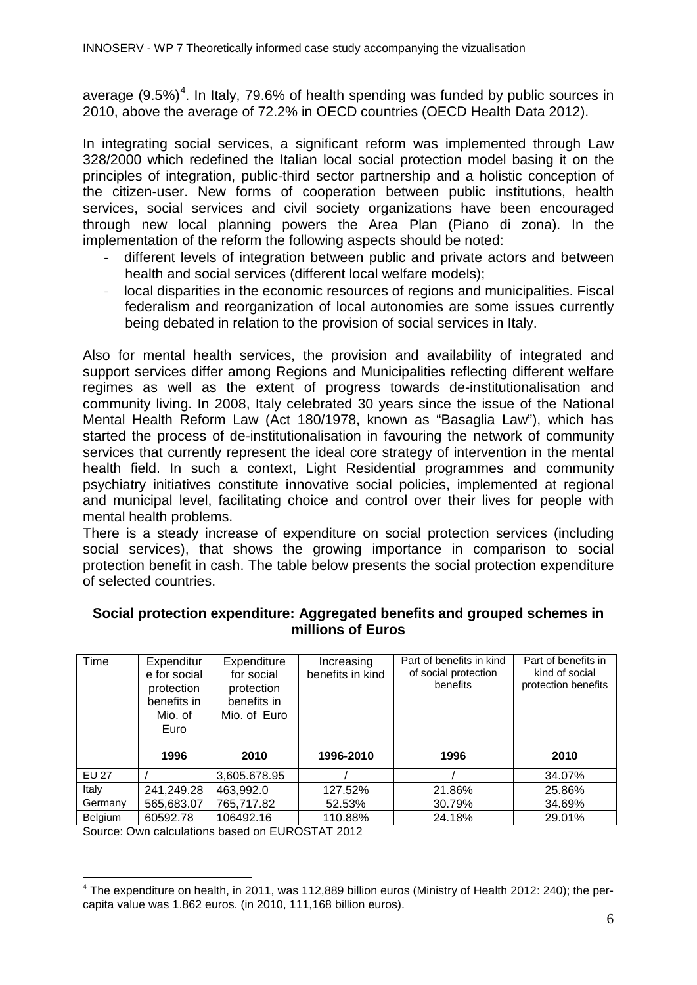average  $(9.5%)^4$  $(9.5%)^4$ . In Italy, 79.6% of health spending was funded by public sources in 2010, above the average of 72.2% in OECD countries (OECD Health Data 2012).

In integrating social services, a significant reform was implemented through Law 328/2000 which redefined the Italian local social protection model basing it on the principles of integration, public-third sector partnership and a holistic conception of the citizen-user. New forms of cooperation between public institutions, health services, social services and civil society organizations have been encouraged through new local planning powers the Area Plan (Piano di zona). In the implementation of the reform the following aspects should be noted:

- different levels of integration between public and private actors and between health and social services (different local welfare models);
- local disparities in the economic resources of regions and municipalities. Fiscal federalism and reorganization of local autonomies are some issues currently being debated in relation to the provision of social services in Italy.

Also for mental health services, the provision and availability of integrated and support services differ among Regions and Municipalities reflecting different welfare regimes as well as the extent of progress towards de-institutionalisation and community living. In 2008, Italy celebrated 30 years since the issue of the National Mental Health Reform Law (Act 180/1978, known as "Basaglia Law"), which has started the process of de-institutionalisation in favouring the network of community services that currently represent the ideal core strategy of intervention in the mental health field. In such a context. Light Residential programmes and community psychiatry initiatives constitute innovative social policies, implemented at regional and municipal level, facilitating choice and control over their lives for people with mental health problems.

There is a steady increase of expenditure on social protection services (including social services), that shows the growing importance in comparison to social protection benefit in cash. The table below presents the social protection expenditure of selected countries.

## **Social protection expenditure: Aggregated benefits and grouped schemes in millions of Euros**

| Time         | Expenditur<br>e for social<br>protection<br>benefits in<br>Mio. of<br>Euro | Expenditure<br>for social<br>protection<br>benefits in<br>Mio. of Euro | Increasing<br>benefits in kind | Part of benefits in kind<br>of social protection<br>benefits | Part of benefits in<br>kind of social<br>protection benefits |
|--------------|----------------------------------------------------------------------------|------------------------------------------------------------------------|--------------------------------|--------------------------------------------------------------|--------------------------------------------------------------|
|              | 1996                                                                       | 2010                                                                   | 1996-2010                      | 1996                                                         | 2010                                                         |
| <b>EU 27</b> |                                                                            | 3,605.678.95                                                           |                                |                                                              | 34.07%                                                       |
| Italy        | 241,249.28                                                                 | 463,992.0                                                              | 127.52%                        | 21.86%                                                       | 25.86%                                                       |
| Germany      | 565,683.07                                                                 | 765,717.82                                                             | 52.53%                         | 30.79%                                                       | 34.69%                                                       |
| Belgium      | 60592.78                                                                   | 106492.16                                                              | 110.88%                        | 24.18%                                                       | 29.01%                                                       |

Source: Own calculations based on EUROSTAT 2012

<span id="page-5-0"></span> $4$  The expenditure on health, in 2011, was 112,889 billion euros (Ministry of Health 2012; 240); the percapita value was 1.862 euros. (in 2010, 111,168 billion euros).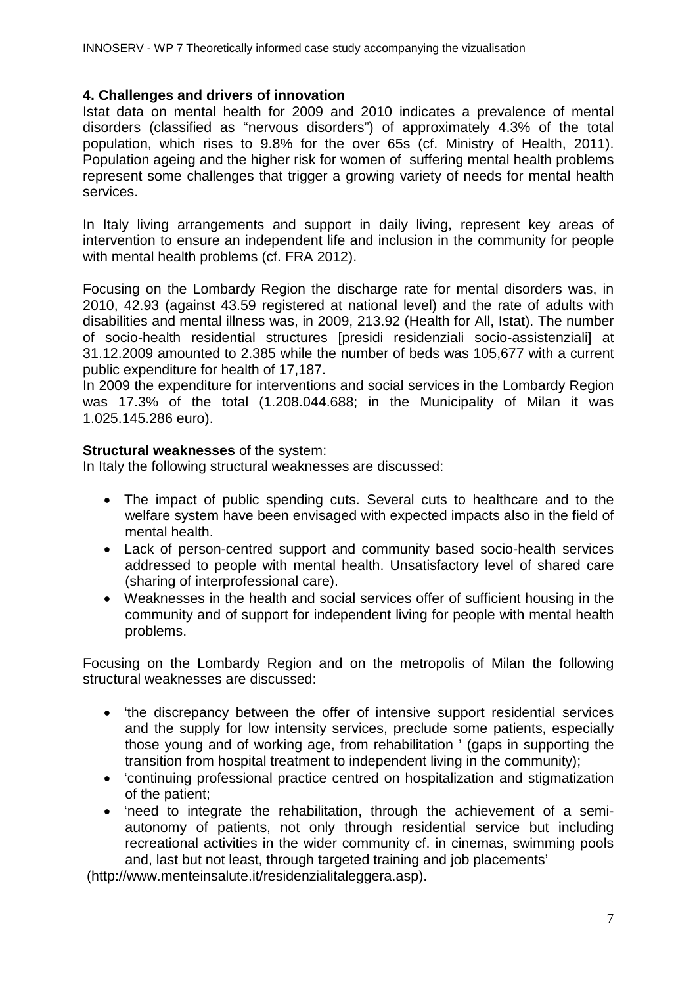## **4. Challenges and drivers of innovation**

Istat data on mental health for 2009 and 2010 indicates a prevalence of mental disorders (classified as "nervous disorders") of approximately 4.3% of the total population, which rises to 9.8% for the over 65s (cf. Ministry of Health, 2011). Population ageing and the higher risk for women of suffering mental health problems represent some challenges that trigger a growing variety of needs for mental health services.

In Italy living arrangements and support in daily living, represent key areas of intervention to ensure an independent life and inclusion in the community for people with mental health problems (cf. FRA 2012).

Focusing on the Lombardy Region the discharge rate for mental disorders was, in 2010, 42.93 (against 43.59 registered at national level) and the rate of adults with disabilities and mental illness was, in 2009, 213.92 (Health for All, Istat). The number of socio-health residential structures [presidi residenziali socio-assistenziali] at 31.12.2009 amounted to 2.385 while the number of beds was 105,677 with a current public expenditure for health of 17,187.

In 2009 the expenditure for interventions and social services in the Lombardy Region was 17.3% of the total (1.208.044.688; in the Municipality of Milan it was 1.025.145.286 euro).

## **Structural weaknesses** of the system:

In Italy the following structural weaknesses are discussed:

- The impact of public spending cuts. Several cuts to healthcare and to the welfare system have been envisaged with expected impacts also in the field of mental health.
- Lack of person-centred support and community based socio-health services addressed to people with mental health. Unsatisfactory level of shared care (sharing of interprofessional care).
- Weaknesses in the health and social services offer of sufficient housing in the community and of support for independent living for people with mental health problems.

Focusing on the Lombardy Region and on the metropolis of Milan the following structural weaknesses are discussed:

- 'the discrepancy between the offer of intensive support residential services and the supply for low intensity services, preclude some patients, especially those young and of working age, from rehabilitation ' (gaps in supporting the transition from hospital treatment to independent living in the community);
- 'continuing professional practice centred on hospitalization and stigmatization of the patient;
- 'need to integrate the rehabilitation, through the achievement of a semiautonomy of patients, not only through residential service but including recreational activities in the wider community cf. in cinemas, swimming pools and, last but not least, through targeted training and job placements'

(http://www.menteinsalute.it/residenzialitaleggera.asp).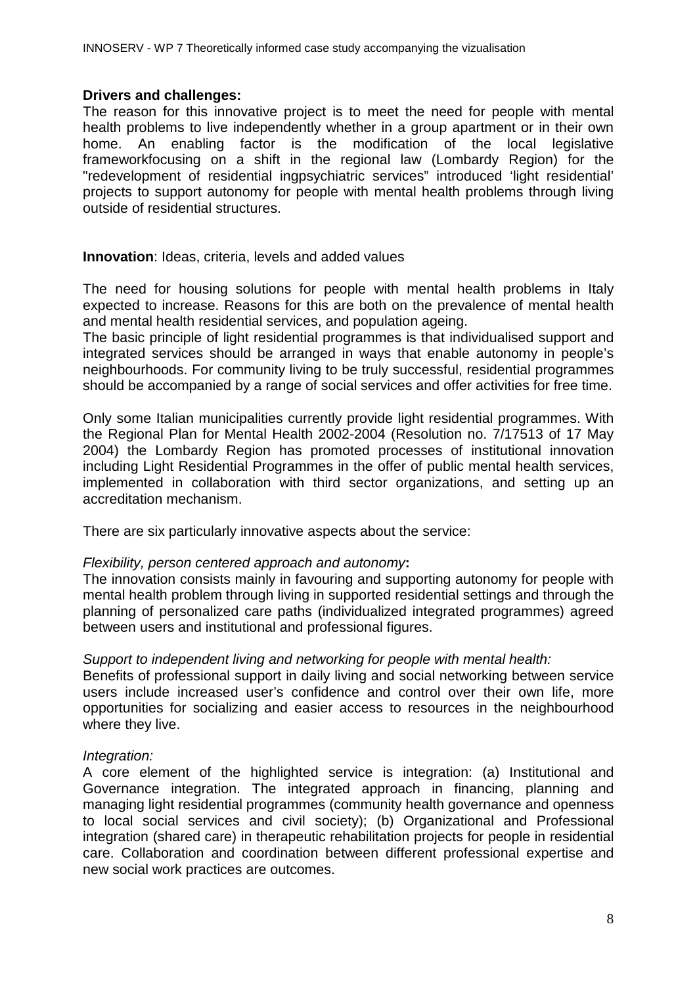#### **Drivers and challenges:**

The reason for this innovative project is to meet the need for people with mental health problems to live independently whether in a group apartment or in their own home. An enabling factor is the modification of the local legislative frameworkfocusing on a shift in the regional law (Lombardy Region) for the "redevelopment of residential ingpsychiatric services" introduced 'light residential' projects to support autonomy for people with mental health problems through living outside of residential structures.

#### **Innovation**: Ideas, criteria, levels and added values

The need for housing solutions for people with mental health problems in Italy expected to increase. Reasons for this are both on the prevalence of mental health and mental health residential services, and population ageing.

The basic principle of light residential programmes is that individualised support and integrated services should be arranged in ways that enable autonomy in people's neighbourhoods. For community living to be truly successful, residential programmes should be accompanied by a range of social services and offer activities for free time.

Only some Italian municipalities currently provide light residential programmes. With the Regional Plan for Mental Health 2002-2004 (Resolution no. 7/17513 of 17 May 2004) the Lombardy Region has promoted processes of institutional innovation including Light Residential Programmes in the offer of public mental health services, implemented in collaboration with third sector organizations, and setting up an accreditation mechanism.

There are six particularly innovative aspects about the service:

#### *Flexibility, person centered approach and autonomy***:**

The innovation consists mainly in favouring and supporting autonomy for people with mental health problem through living in supported residential settings and through the planning of personalized care paths (individualized integrated programmes) agreed between users and institutional and professional figures.

#### *Support to independent living and networking for people with mental health:*

Benefits of professional support in daily living and social networking between service users include increased user's confidence and control over their own life, more opportunities for socializing and easier access to resources in the neighbourhood where they live.

#### *Integration:*

A core element of the highlighted service is integration: (a) Institutional and Governance integration. The integrated approach in financing, planning and managing light residential programmes (community health governance and openness to local social services and civil society); (b) Organizational and Professional integration (shared care) in therapeutic rehabilitation projects for people in residential care. Collaboration and coordination between different professional expertise and new social work practices are outcomes.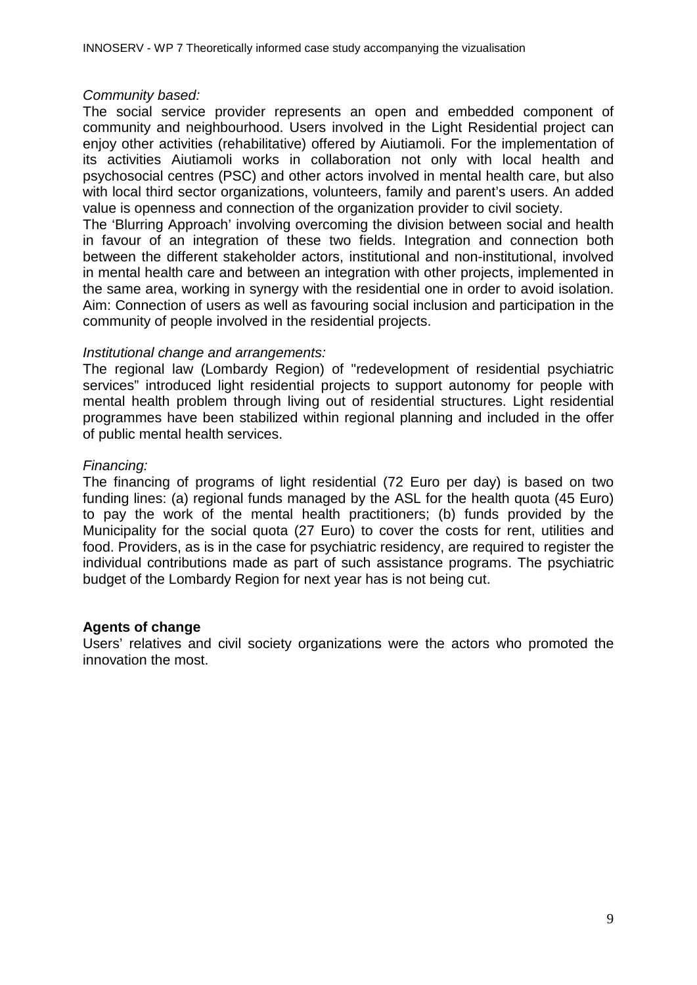#### *Community based:*

The social service provider represents an open and embedded component of community and neighbourhood. Users involved in the Light Residential project can enjoy other activities (rehabilitative) offered by Aiutiamoli. For the implementation of its activities Aiutiamoli works in collaboration not only with local health and psychosocial centres (PSC) and other actors involved in mental health care, but also with local third sector organizations, volunteers, family and parent's users. An added value is openness and connection of the organization provider to civil society.

The 'Blurring Approach' involving overcoming the division between social and health in favour of an integration of these two fields. Integration and connection both between the different stakeholder actors, institutional and non-institutional, involved in mental health care and between an integration with other projects, implemented in the same area, working in synergy with the residential one in order to avoid isolation. Aim: Connection of users as well as favouring social inclusion and participation in the community of people involved in the residential projects.

#### *Institutional change and arrangements:*

The regional law (Lombardy Region) of "redevelopment of residential psychiatric services" introduced light residential projects to support autonomy for people with mental health problem through living out of residential structures. Light residential programmes have been stabilized within regional planning and included in the offer of public mental health services.

#### *Financing:*

The financing of programs of light residential (72 Euro per day) is based on two funding lines: (a) regional funds managed by the ASL for the health quota (45 Euro) to pay the work of the mental health practitioners; (b) funds provided by the Municipality for the social quota (27 Euro) to cover the costs for rent, utilities and food. Providers, as is in the case for psychiatric residency, are required to register the individual contributions made as part of such assistance programs. The psychiatric budget of the Lombardy Region for next year has is not being cut.

#### **Agents of change**

Users' relatives and civil society organizations were the actors who promoted the innovation the most.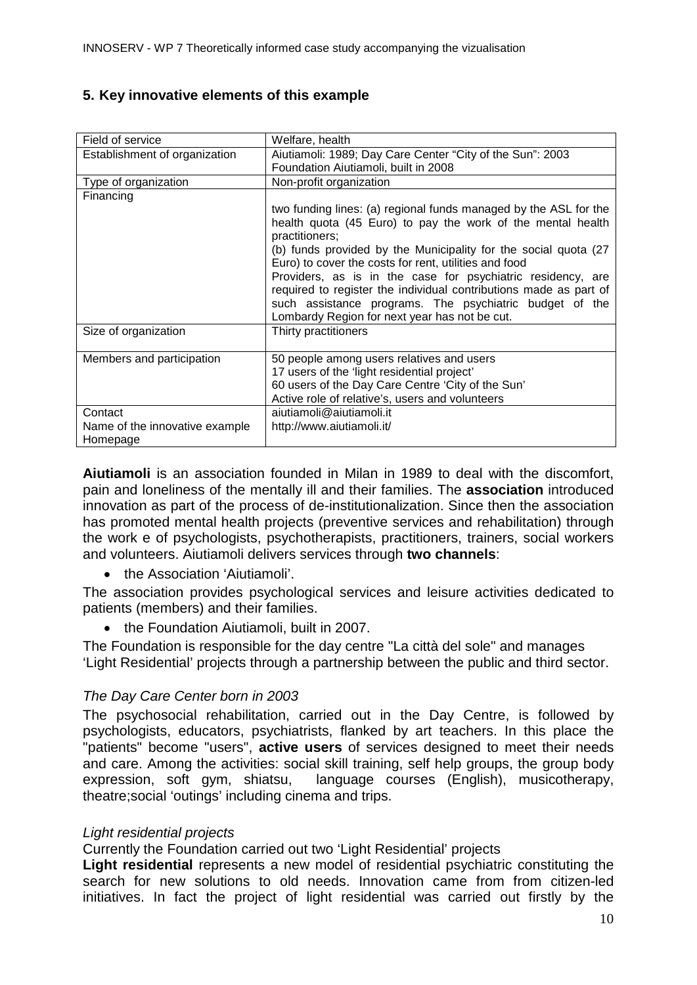## **5. Key innovative elements of this example**

| Field of service                                      | Welfare, health                                                                                                                                                                                                                                                                                                                               |
|-------------------------------------------------------|-----------------------------------------------------------------------------------------------------------------------------------------------------------------------------------------------------------------------------------------------------------------------------------------------------------------------------------------------|
| Establishment of organization                         | Aiutiamoli: 1989; Day Care Center "City of the Sun": 2003                                                                                                                                                                                                                                                                                     |
|                                                       | Foundation Aiutiamoli, built in 2008                                                                                                                                                                                                                                                                                                          |
| Type of organization                                  | Non-profit organization                                                                                                                                                                                                                                                                                                                       |
| Financing                                             |                                                                                                                                                                                                                                                                                                                                               |
|                                                       | two funding lines: (a) regional funds managed by the ASL for the<br>health quota (45 Euro) to pay the work of the mental health<br>practitioners;<br>(b) funds provided by the Municipality for the social quota (27)<br>Euro) to cover the costs for rent, utilities and food<br>Providers, as is in the case for psychiatric residency, are |
|                                                       | required to register the individual contributions made as part of<br>such assistance programs. The psychiatric budget of the<br>Lombardy Region for next year has not be cut.                                                                                                                                                                 |
| Size of organization                                  | Thirty practitioners                                                                                                                                                                                                                                                                                                                          |
| Members and participation                             | 50 people among users relatives and users<br>17 users of the 'light residential project'<br>60 users of the Day Care Centre 'City of the Sun'<br>Active role of relative's, users and volunteers                                                                                                                                              |
| Contact<br>Name of the innovative example<br>Homepage | aiutiamoli@aiutiamoli.it<br>http://www.aiutiamoli.it/                                                                                                                                                                                                                                                                                         |

**Aiutiamoli** is an association founded in Milan in 1989 to deal with the discomfort, pain and loneliness of the mentally ill and their families. The **association** introduced innovation as part of the process of de-institutionalization. Since then the association has promoted mental health projects (preventive services and rehabilitation) through the work e of psychologists, psychotherapists, practitioners, trainers, social workers and volunteers. Aiutiamoli delivers services through **two channels**:

• the Association 'Aiutiamoli'.

The association provides psychological services and leisure activities dedicated to patients (members) and their families.

• the Foundation Aiutiamoli, built in 2007.

The Foundation is responsible for the day centre "La città del sole" and manages 'Light Residential' projects through a partnership between the public and third sector.

## *The Day Care Center born in 2003*

The psychosocial rehabilitation, carried out in the Day Centre, is followed by psychologists, educators, psychiatrists, flanked by art teachers. In this place the "patients" become "users", **active users** of services designed to meet their needs and care. Among the activities: social skill training, self help groups, the group body expression, soft gym, shiatsu, language courses (English), musicotherapy, theatre;social 'outings' including cinema and trips.

## *Light residential projects*

Currently the Foundation carried out two 'Light Residential' projects

**Light residential** represents a new model of residential psychiatric constituting the search for new solutions to old needs. Innovation came from from citizen-led initiatives. In fact the project of light residential was carried out firstly by the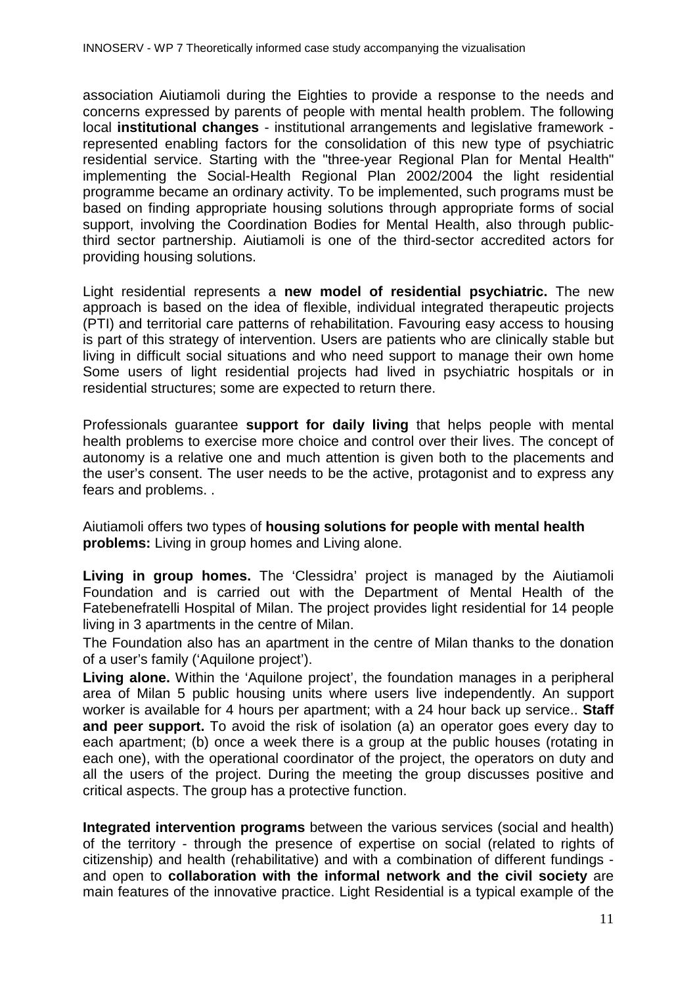association Aiutiamoli during the Eighties to provide a response to the needs and concerns expressed by parents of people with mental health problem. The following local **institutional changes** - institutional arrangements and legislative framework represented enabling factors for the consolidation of this new type of psychiatric residential service. Starting with the "three-year Regional Plan for Mental Health" implementing the Social-Health Regional Plan 2002/2004 the light residential programme became an ordinary activity. To be implemented, such programs must be based on finding appropriate housing solutions through appropriate forms of social support, involving the Coordination Bodies for Mental Health, also through publicthird sector partnership. Aiutiamoli is one of the third-sector accredited actors for providing housing solutions.

Light residential represents a **new model of residential psychiatric.** The new approach is based on the idea of flexible, individual integrated therapeutic projects (PTI) and territorial care patterns of rehabilitation. Favouring easy access to housing is part of this strategy of intervention. Users are patients who are clinically stable but living in difficult social situations and who need support to manage their own home Some users of light residential projects had lived in psychiatric hospitals or in residential structures; some are expected to return there.

Professionals guarantee **support for daily living** that helps people with mental health problems to exercise more choice and control over their lives. The concept of autonomy is a relative one and much attention is given both to the placements and the user's consent. The user needs to be the active, protagonist and to express any fears and problems. .

Aiutiamoli offers two types of **housing solutions for people with mental health problems:** Living in group homes and Living alone.

**Living in group homes.** The 'Clessidra' project is managed by the Aiutiamoli Foundation and is carried out with the Department of Mental Health of the Fatebenefratelli Hospital of Milan. The project provides light residential for 14 people living in 3 apartments in the centre of Milan.

The Foundation also has an apartment in the centre of Milan thanks to the donation of a user's family ('Aquilone project').

**Living alone.** Within the 'Aquilone project', the foundation manages in a peripheral area of Milan 5 public housing units where users live independently. An support worker is available for 4 hours per apartment; with a 24 hour back up service.. **Staff and peer support.** To avoid the risk of isolation (a) an operator goes every day to each apartment; (b) once a week there is a group at the public houses (rotating in each one), with the operational coordinator of the project, the operators on duty and all the users of the project. During the meeting the group discusses positive and critical aspects. The group has a protective function.

**Integrated intervention programs** between the various services (social and health) of the territory - through the presence of expertise on social (related to rights of citizenship) and health (rehabilitative) and with a combination of different fundings and open to **collaboration with the informal network and the civil society** are main features of the innovative practice. Light Residential is a typical example of the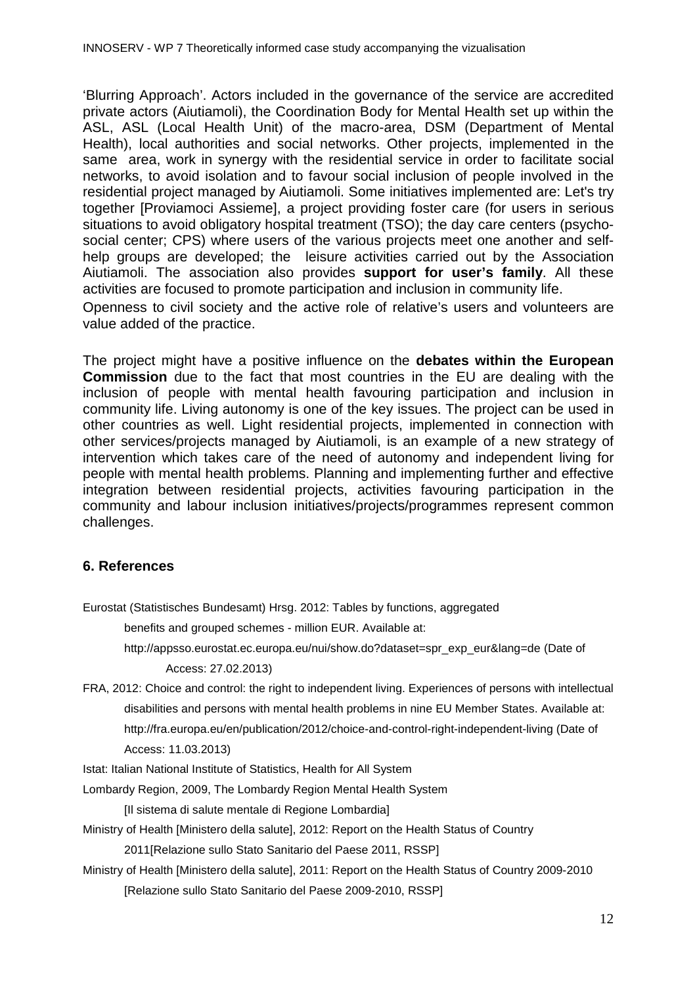'Blurring Approach'. Actors included in the governance of the service are accredited private actors (Aiutiamoli), the Coordination Body for Mental Health set up within the ASL, ASL (Local Health Unit) of the macro-area, DSM (Department of Mental Health), local authorities and social networks. Other projects, implemented in the same area, work in synergy with the residential service in order to facilitate social networks, to avoid isolation and to favour social inclusion of people involved in the residential project managed by Aiutiamoli. Some initiatives implemented are: Let's try together [Proviamoci Assieme], a project providing foster care (for users in serious situations to avoid obligatory hospital treatment (TSO); the day care centers (psychosocial center; CPS) where users of the various projects meet one another and selfhelp groups are developed; the leisure activities carried out by the Association Aiutiamoli. The association also provides **support for user's family**. All these activities are focused to promote participation and inclusion in community life.

Openness to civil society and the active role of relative's users and volunteers are value added of the practice.

The project might have a positive influence on the **debates within the European Commission** due to the fact that most countries in the EU are dealing with the inclusion of people with mental health favouring participation and inclusion in community life. Living autonomy is one of the key issues. The project can be used in other countries as well. Light residential projects, implemented in connection with other services/projects managed by Aiutiamoli, is an example of a new strategy of intervention which takes care of the need of autonomy and independent living for people with mental health problems. Planning and implementing further and effective integration between residential projects, activities favouring participation in the community and labour inclusion initiatives/projects/programmes represent common challenges.

## **6. References**

Eurostat (Statistisches Bundesamt) Hrsg. 2012: Tables by functions, aggregated

benefits and grouped schemes - million EUR. Available at:

http://appsso.eurostat.ec.europa.eu/nui/show.do?dataset=spr\_exp\_eur&lang=de (Date of Access: 27.02.2013)

FRA, 2012: Choice and control: the right to independent living. Experiences of persons with intellectual disabilities and persons with mental health problems in nine EU Member States. Available at: http://fra.europa.eu/en/publication/2012/choice-and-control-right-independent-living (Date of Access: 11.03.2013)

Istat: Italian National Institute of Statistics, Health for All System

Lombardy Region, 2009, The Lombardy Region Mental Health System

[Il sistema di salute mentale di Regione Lombardia]

Ministry of Health [Ministero della salute], 2012: Report on the Health Status of Country

2011[Relazione sullo Stato Sanitario del Paese 2011, RSSP]

Ministry of Health [Ministero della salute], 2011: Report on the Health Status of Country 2009-2010 [Relazione sullo Stato Sanitario del Paese 2009-2010, RSSP]